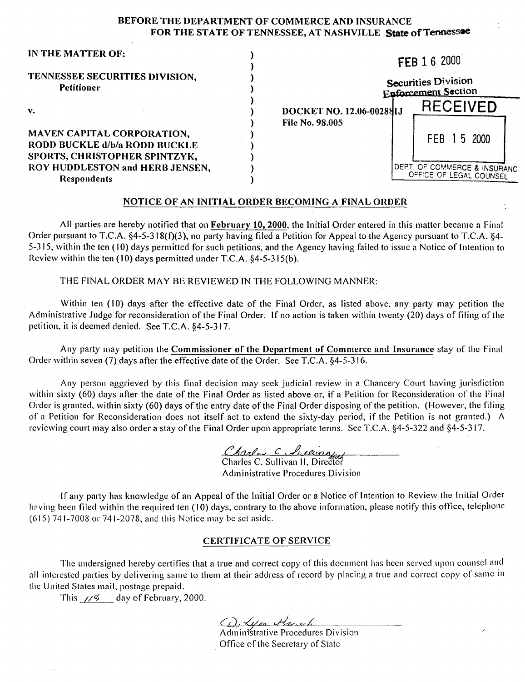## BEFORE THE DEPARTMENT OF COMMERCE AND INSURANCE FOR THE STATE OF TENNESSEE, AT NASHVILLE State of Tennessee

| IN THE MATTER OF:                                                                      | FEB 1 6 2000                                                          |  |
|----------------------------------------------------------------------------------------|-----------------------------------------------------------------------|--|
| TENNESSEE SECURITIES DIVISION,<br><b>Petitioner</b>                                    | Securities Division<br><b>Enforcement Section</b>                     |  |
| $\mathbf{v}$ .                                                                         | <b>RECEIVED</b><br>DOCKET NO. 12.06-002881J<br><b>File No. 98.005</b> |  |
| <b>MAVEN CAPITAL CORPORATION,</b><br>RODD BUCKLE d/b/a RODD BUCKLE                     | FEB 15 2000                                                           |  |
| SPORTS, CHRISTOPHER SPINTZYK,<br>ROY HUDDLESTON and HERB JENSEN,<br><b>Respondents</b> | <b>IDEPT. OF COMMERCE &amp; INSURANC</b><br>OFFICE OF LEGAL COUNSEL   |  |

#### NOTICE OF AN INITIAL ORDER BECOMING A FINAL ORDER

All parties are hereby notified that on February 10, 2000, the Initial Order entered in this matter became a Final Order pursuant to T.C.A. §4-5-318(f)(3), no party having filed a Petition for Appeal to the Agency pursuant to T.C.A. §4-5-315, within the ten (10) days permitted for such petitions, and the Agency having failed to issue a Notice of Intention to Review within the ten  $(10)$  days permitted under T.C.A. §4-5-315(b).

THE FINAL ORDER MAY BE REVIEWED IN THE FOLLOWING MANNER:

Within ten (10) days after the effective date of the Final Order, as listed above, any party may petition the Administrative Judge for reconsideration of the Final Order. If no action is taken within twenty (20) days of filing of the petition, it is deemed denied. See T.C.A. §4-5-317.

Any party may petition the Commissioner of the Department of Commerce and Insurance stay of the Final Order within seven (7) days after the effective date of the Order. See T.C.A. §4-5-316.

Any person aggrieved by this final decision may seek judicial review in a Chancery Court having jurisdiction within sixty (60) days after the date of the Final Order as listed above or, if a Petition for Reconsideration of the Final Order is granted, within sixty (60) days of the entry date of the Final Order disposing of the petition. (However, the filing of a Petition for Reconsideration does not itself act to extend the sixty-day period, if the Petition is not granted.) A reviewing court may also order a stay of the Final Order upon appropriate terms. See T.C.A. §4-5-322 and §4-5-3 17.

Charles C Luckinstal

Administrative Procedures Division

If any party has knowledge of an Appeal of the Initial Order or a Notice of Intention to Review the Initial Order having been filed within the required ten (10) days, contrary to the above information, please notify this office, telephone (6 15) 741-7008 or 741-2078, and this Notice may be set aside.

#### CERTIFICATE OF SERVICE

The undersigned hereby certifies that a true and correct copy of this document has been served upon counsel and all interested parties by delivering same to them at their address of record by placing a true and correct copy of same in the United States mail, postage prepaid.

This  $\frac{\sqrt{6}}{2}$  day of February, 2000.

A Appo Hansel<br>Administrative Procedures Division

Office of the Secretary of State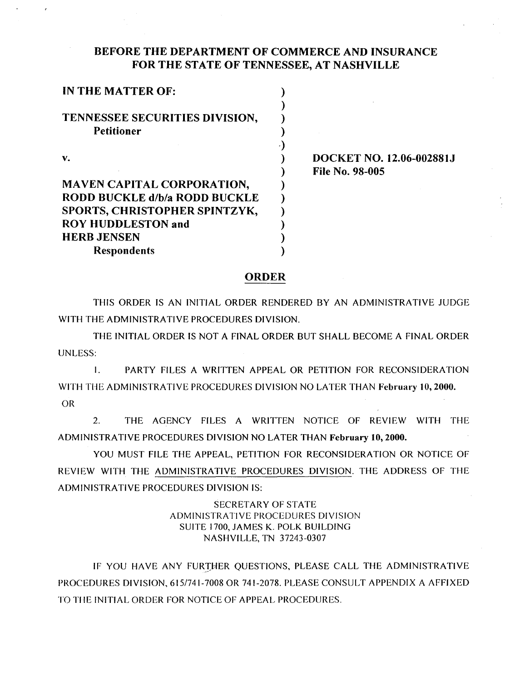# BEFORE THE DEPARTMENT OF COMMERCE AND INSURANCE FOR THE STATE OF TENNESSEE, AT NASHVILLE

DOCKET NO. 12.06-00288IJ File No. 98-005

## ORDER

THIS ORDER IS AN INITIAL ORDER RENDERED BY AN ADMINISTRATIVE JUDGE WITH THE ADMINISTRATIVE PROCEDURES DIVISION.

THE INITIAL ORDER IS NOT A FINAL ORDER BUT SHALL BECOME A FINAL ORDER UNLESS:

I. PARTY FILES A WRITTEN APPEAL OR PETITION FOR RECONSIDERATION WITH THE ADMINISTRATIVE PROCEDURES DIVISION NO LATER THAN February 10, 2000. OR

2. THE AGENCY FILES A WRITTEN NOTICE OF REVIEW WITH THE ADMINISTRATIVE PROCEDURES DIVISION NO LATER THAN February 10,2000.

YOU MUST FILE THE APPEAL, PETITION FOR RECONSIDERATION OR NOTICE OF REVIEW WITH THE ADMINISTRATIVE PROCEDURES DIVISION. THE ADDRESS OF THE ADMINISTRATIVE PROCEDURES DIVISION IS:

# SECRETARY OF STATE ADMINISTRATIVE PROCEDURES DIVISION SUITE I700, JAMES K. POLK BUILDING NASHVILLE, TN 37243-0307

IF YOU HAVE ANY FURTHER QUESTIONS, PLEASE CALL THE ADMINISTRATIVE PROCEDURES DIVISION, 615/741-7008 OR 741-2078. PLEASE CONSULT APPENDIX A AFFIXED TO THE INITIAL ORDER FOR NOTICE OF APPEAL PROCEDURES.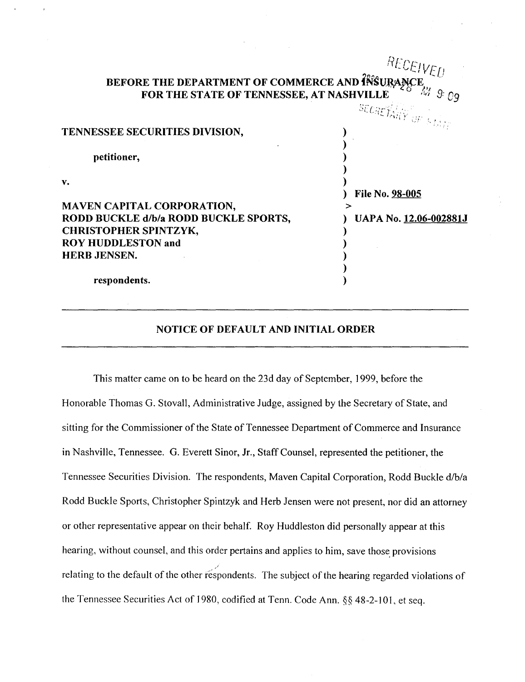|                                                                            | ${}^{RECEIVED}$             |
|----------------------------------------------------------------------------|-----------------------------|
| BEFORE THE DEPARTMENT OF COMMERCE AND INSURANCE                            |                             |
|                                                                            | <b>SECRETARY</b> OF STATE   |
| TENNESSEE SECURITIES DIVISION,                                             |                             |
| petitioner,                                                                |                             |
| v.                                                                         |                             |
|                                                                            | File No. 98-005             |
| <b>MAVEN CAPITAL CORPORATION,</b><br>RODD BUCKLE d/b/a RODD BUCKLE SPORTS, | ⋗<br>UAPA No. 12.06-002881J |
| <b>CHRISTOPHER SPINTZYK,</b>                                               |                             |
| <b>ROY HUDDLESTON and</b>                                                  |                             |
| <b>HERB JENSEN.</b>                                                        |                             |
|                                                                            |                             |
| respondents.                                                               |                             |

#### **NOTICE OF DEFAULT AND INITIAL ORDER**

This matter came on to be heard on the 23d day of September, **1** 999, before the Honorable Thomas G. Stovall, Administrative Judge, assigned by the Secretary of State, and sitting for the Commissioner of the State of Tennessee Department of Commerce and Insurance in Nashville, Tennessee. G. Everett Sinor, Jr., Staff Counsel, represented the petitioner, the Tennessee Securities Division. The respondents, Maven Capital Corporation, Rodd Buckle d/b/a Rodd Buckle Sports, Christopher Spintzyk and Herb Jensen were not present, nor did an attorney or other representative appear on their behalf. Roy Huddleston did personally appear at this hearing, without counsel, and this order pertains and applies to him, save those provisions relating to the default of the other respondents. The subject of the hearing regarded violations of the Tennessee Securities Act of 1980, codified at Tenn. Code Ann.  $\S$ § 48-2-101, et seq.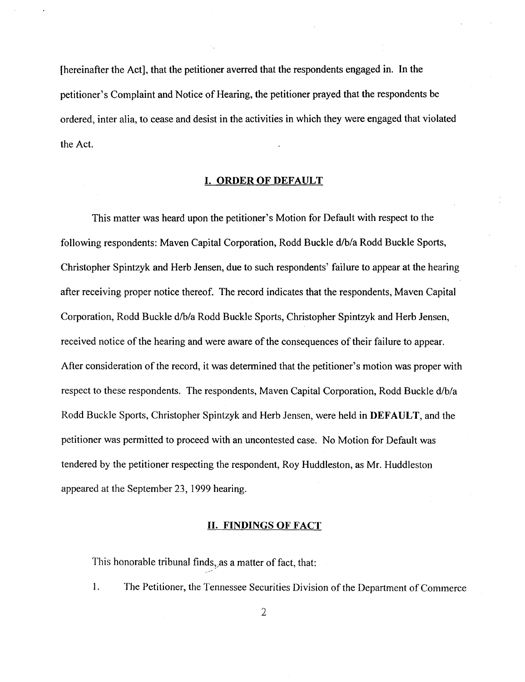[hereinafter the Act], that the petitioner averred that the respondents engaged in. In the petitioner's Complaint and Notice of Hearing, the petitioner prayed that the respondents be ordered, inter alia, to cease and desist in the activities in which they were engaged that violated the Act.

#### I. ORDER OF DEFAULT

This matter was heard upon the petitioner's Motion for Default with respect to the following respondents: Maven Capital Corporation, Rodd Buckle d/b/a Rodd Buckle Sports, Christopher Spintzyk and Herb Jensen, due to such respondents' failure to appear at the hearing after receiving proper notice thereof. The record indicates that the respondents, Maven Capital Corporation, Rodd Buckle d/b/a Rodd Buckle Sports, Christopher Spintzyk and Herb Jensen, received notice of the hearing and were aware of the consequences of their failure to appear. After consideration of the record, it was determined that the petitioner's motion was proper with respect to these respondents. The respondents, Maven Capital Corporation, Rodd Buckle d/b/a Rodd Buckle Sports, Christopher Spintzyk and Herb Jensen, were held in DEFAULT, and the petitioner was permitted to proceed with an uncontested case. No Motion for Default was tendered by the petitioner respecting the respondent, Roy Huddleston, as Mr. Huddleston appeared at the September 23, 1999 hearing.

#### II. FINDINGS OF FACT

This honorable tribunal finds, as a matter of fact, that: .. -~

I. The Petitioner, the Tennessee Securities Division of the Department of Commerce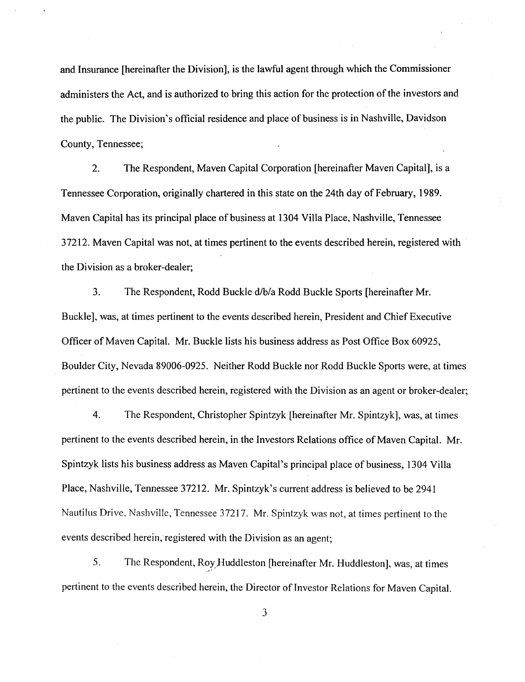and Insurance [hereinafter the Division], is the lawful agent through which the Commissioner administers the Act, and is authorized to bring this action for the protection of the investors and the public. The Division's official residence and place of business is in Nashville, Davidson County, Tennessee;

2. The Respondent, Maven Capital Corporation [hereinafter Maven Capital], is a Tennessee Corporation, originally chartered in this state on the 24th day of February, 1989. Maven Capital has its principal place of business at 1304 Villa Place, Nashville, Tennessee 37212. Maven Capital was not, at times pertinent to the events described herein, registered with the Division as a broker-dealer;

3. The Respondent, Rodd Buckle d/b/a Rodd Buckle Sports [hereinafter Mr. Buckle], was, at times pertinent to the events described herein, President and Chief Executive Officer of Maven Capital. Mr. Buckle lists his business address as Post Office Box 60925, Boulder City, Nevada 89006-0925. Neither Rodd Buckle nor Rodd Buckle Sports were, at times pertinent to the events described herein, registered with the Division as an agent or broker-dealer;

4. The Respondent, Christopher Spintzyk [hereinafter Mr. Spintzyk], was, at times pertinent to the events described herein, in the Investors Relations office of Maven Capital. Mr. Spintzyk lists his business address as Maven Capital's principal place of business, 1304 Villa Place, Nashville, Tennessee 37212. Mr. Spintzyk's current address is believed to be 2941 Nautilus Drive, Nashville, Tennessee 37217. Mr. Spintzyk was not, at times pertinent to the events described herein, registered with the Division as an agent;

5. The Respondent, Roy Huddleston [hereinafter Mr. Huddleston], was, at times pertinent to the events described herein, the Director of Investor Relations for Maven Capital.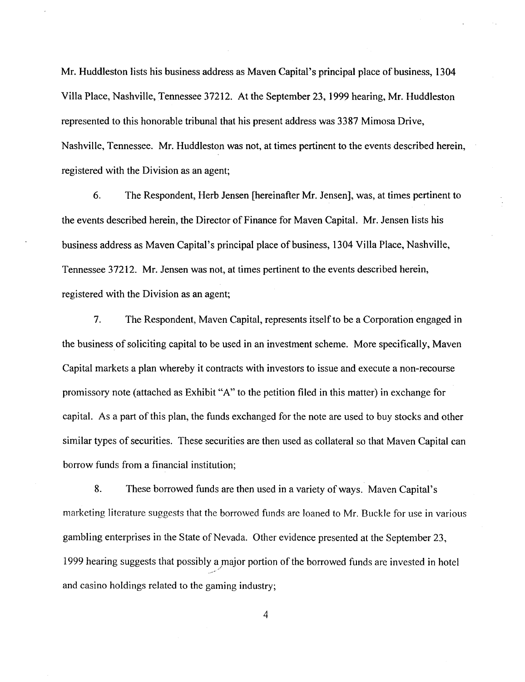Mr. Huddleston lists his business address as Maven Capital's principal place of business, 1304 Villa Place, Nashville, Tennessee 37212. At the September 23, 1999 hearing, Mr. Huddleston represented to this honorable tribunal that his present address was 3387 Mimosa Drive, Nashville, Tennessee. Mr. Huddleston was not, at times pertinent to the events described herein, registered with the Division as an agent;

6. The Respondent, Herb Jensen [hereinafter Mr. Jensen], was, at times pertinent to the events described herein, the Director of Finance for Maven Capital. Mr. Jensen lists his business address as Maven Capital's principal place of business, 1304 Villa Place, Nashville, Tennessee 37212. Mr. Jensen was not, at times pertinent to the events described herein, registered with the Division as an agent;

7. The Respondent, Maven Capital, represents itself to be a Corporation engaged in the business of soliciting capital to be used in an investment scheme. More specifically, Maven Capital markets a plan whereby it contracts with investors to issue and execute a non-recourse promissory note (attached as Exhibit "A" to the petition filed in this matter) in exchange for capital. As a part of this plan, the funds exchanged for the note are used to buy stocks and other similar types of securities. These securities are then used as collateral so that Maven Capital can borrow funds from a financial institution;

8. These borrowed funds are then used in a variety of ways. Maven Capital's marketing literature suggests that the borrowed funds are loaned to Mr. Buckle for use in various gambling enterprises in the State of Nevada. Other evidence presented at the September 23, 1999 hearing suggests that possibly a major portion of the borrowed funds are invested in hotel / .-- and casino holdings related to the gaming industry;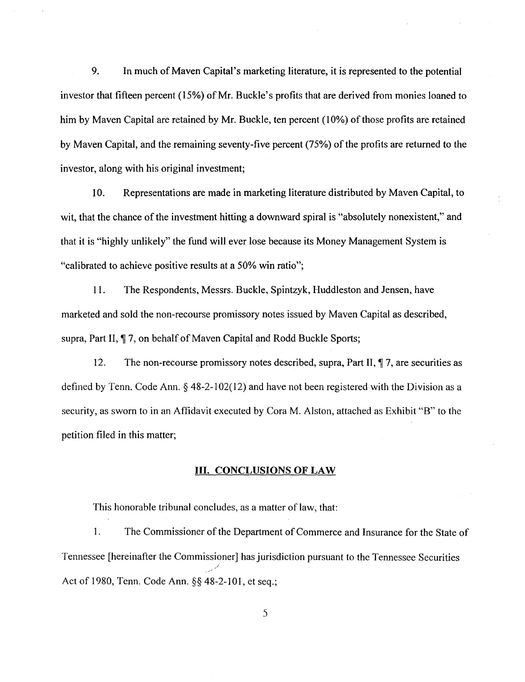9. In much of Maven Capital's marketing literature, it is represented to the potential investor that fifteen percent (15%) of Mr. Buckle's profits that are derived from monies loaned to him by Maven Capital are retained by Mr. Buckle, ten percent (10%) of those profits are retained by Maven Capital, and the remaining seventy-five percent (75%) of the profits are returned to the investor, along with his original investment;

10. Representations are made in marketing literature distributed by Maven Capital, to wit, that the chance of the investment hitting a downward spiral is "absolutely nonexistent," and that it is "highly unlikely" the fund will ever lose because its Money Management System is "calibrated to achieve positive results at a 50% win ratio";

11. The Respondents, Messrs. Buckle, Spintzyk, Huddleston and Jensen, have marketed and sold the non-recourse promissory notes issued by Maven Capital as described, supra, Part II,  $\P$  7, on behalf of Maven Capital and Rodd Buckle Sports;

12. The non-recourse promissory notes described, supra, Part II, 17, are securities as defined by Tenn. Code Ann. § 48-2-1 02(12) and have not been registered with the Division as a security, as sworn to in an Affidavit executed by Cora M. Alston, attached as Exhibit "B" to the petition filed in this matter;

#### III. CONCLUSIONS OF LAW

This honorable tribunal concludes, as a matter of law, that:

1. The Commissioner of the Department of Commerce and Insurance for the State of Tennessee [hereinafter the Commissioner] has jurisdiction pursuant to the Tennessee Securities */.*  Act of 1980, Tenn. Code Ann. §§ 48-2-101, et seq.;

*s*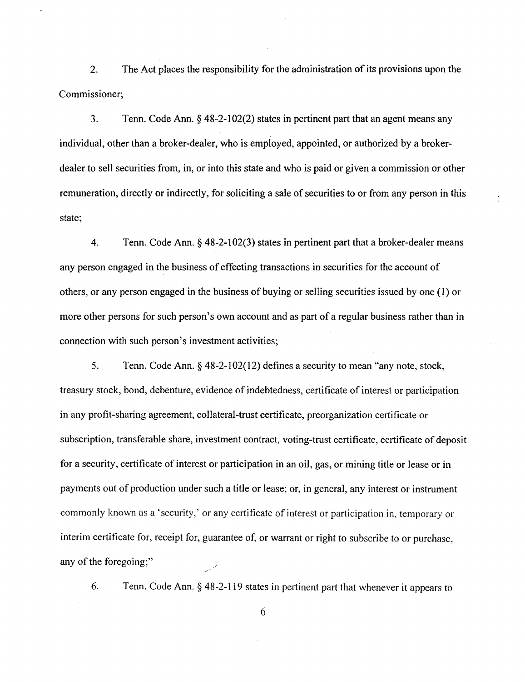2. The Act places the responsibility for the administration of its provisions upon the Commissioner;

3. Tenn. Code Ann.§ 48-2-102(2) states in pertinent part that an agent means any individual, other than a broker-dealer, who is employed, appointed, or authorized by a brokerdealer to sell securities from, in, or into this state and who is paid or given a commission or other remuneration, directly or indirectly, for soliciting a sale of securities to or from any person in this state;

4. Tenn. Code Ann.§ 48-2-102(3) states in pertinent part that a broker-dealer means any person engaged in the business of effecting transactions in securities for the account of others, or any person engaged in the business of buying or selling securities issued by one (I) or more other persons for such person's own account and as part of a regular business rather than in connection with such person's investment activities;

5. Tenn. Code Ann.§ 48-2-102(12) defines a security to mean "any note, stock, treasury stock, bond, debenture, evidence of indebtedness, certificate of interest or participation in any profit-sharing agreement, collateral-trust certificate, preorganization certificate or subscription, transferable share, investment contract, voting-trust certificate, certificate of deposit for a security, certificate of interest or participation in an oil, gas, or mining title or lease or in payments out of production under such a title or lease; or, in general, any interest or instrument commonly known as a 'security,' or any certificate of interest or participation in, temporary or interim certificate for, receipt for, guarantee of, or warrant or right to subscribe to or purchase, any of the foregoing;"

6. Tenn. Code Ann. § 48-2-119 states in pertinent part that whenever it appears to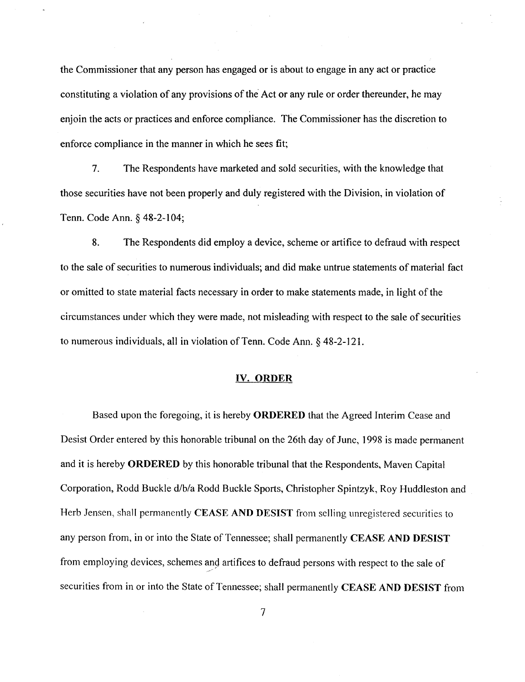the Commissioner that any person has engaged or is about to engage in any act or practice constituting a violation of any provisions of the Act or any rule or order thereunder, he may enjoin the acts or practices and enforce compliance. The Commissioner has the discretion to enforce compliance in the manner in which he sees fit;

7. The Respondents have marketed and sold securities, with the knowledge that those securities have not been properly and duly registered with the Division, in violation of Tenn. Code Ann.§ 48-2-104;

8. The Respondents did employ a device, scheme or artifice to defraud with respect to the sale of securities to numerous individuals; and did make untrue statements of material fact or omitted to state material facts necessary in order to make statements made, in light of the circumstances under which they were made, not misleading with respect to the sale of securities to numerous individuals, all in violation of Tenn. Code Ann. *§* 48-2-121.

#### IV. ORDER

Based upon the foregoing, it is hereby ORDERED that the Agreed Interim Cease and Desist Order entered by this honorable tribunal on the 26th day of June, 1998 is made permanent and it is hereby ORDERED by this honorable tribunal that the Respondents, Maven Capital Corporation, Rodd Buckle d/b/a Rodd Buckle Sports, Christopher Spintzyk, Roy Huddleston and Herb Jensen, shall permanently CEASE AND DESIST from selling unregistered securities to any person from, in or into the State of Tennessee; shall permanently CEASE AND DESIST from employing devices, schemes and artifices to defraud persons with respect to the sale of securities from in or into the State of Tennessee; shall permanently CEASE AND DESIST from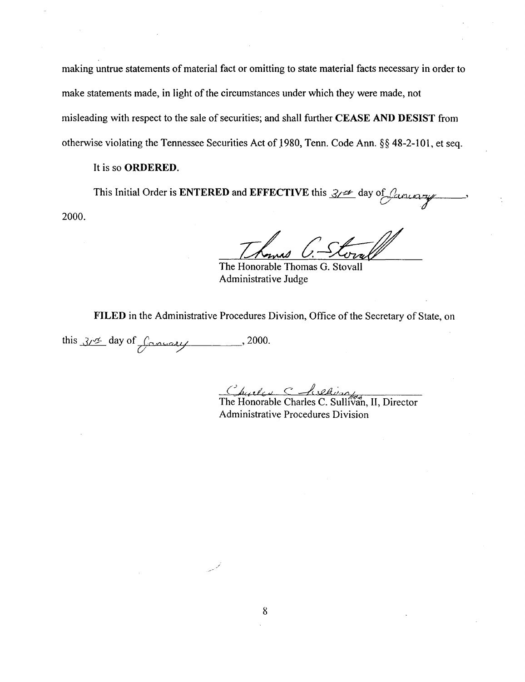making untrue statements of material fact or omitting to state material facts necessary in order to make statements made, in light of the circumstances under which they were made, not misleading with respect to the sale of securities; and shall further **CEASE AND DESIST** from otherwise violating the Tennessee Securities Act of 1980, Tenn. Code Ann. §§ 48-2-101, et seq.

## It is so **ORDERED.**

This Initial Order is **ENTERED** and **EFFECTIVE** this  $\frac{3}{2}$  day of *fancery* 2000.

The Honorable Thomas G. Stovall Administrative Judge

**FILED** in the Administrative Procedures Division, Office of the Secretary of State, on

this  $3/3$  day of  $f$  and  $y$ . 2000.

Charles C. Richard Charles C. Sullivan, II, Director

Administrative Procedures Division

*/*